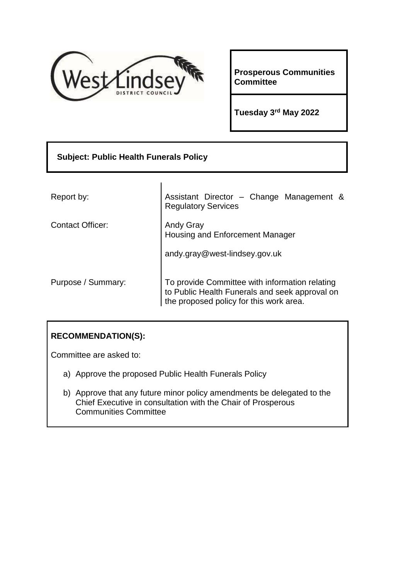

**Prosperous Communities Committee**

**Tuesday 3rd May 2022**

| <b>Subject: Public Health Funerals Policy</b> |                                                                                                                                             |  |  |  |  |  |
|-----------------------------------------------|---------------------------------------------------------------------------------------------------------------------------------------------|--|--|--|--|--|
|                                               |                                                                                                                                             |  |  |  |  |  |
| Report by:                                    | Assistant Director - Change Management &<br><b>Regulatory Services</b>                                                                      |  |  |  |  |  |
| <b>Contact Officer:</b>                       | <b>Andy Gray</b><br>Housing and Enforcement Manager                                                                                         |  |  |  |  |  |
|                                               | andy.gray@west-lindsey.gov.uk                                                                                                               |  |  |  |  |  |
| Purpose / Summary:                            | To provide Committee with information relating<br>to Public Health Funerals and seek approval on<br>the proposed policy for this work area. |  |  |  |  |  |

# **RECOMMENDATION(S):**

Committee are asked to:

- a) Approve the proposed Public Health Funerals Policy
- b) Approve that any future minor policy amendments be delegated to the Chief Executive in consultation with the Chair of Prosperous Communities Committee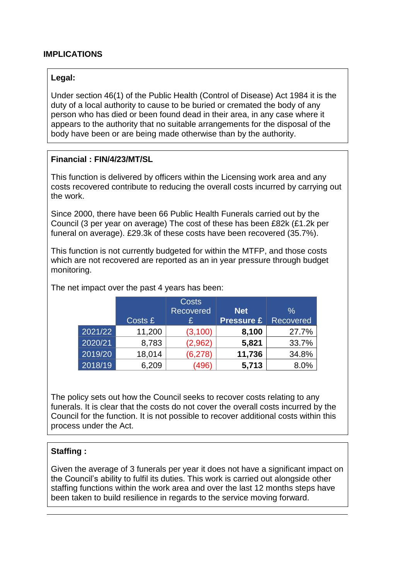### **IMPLICATIONS**

#### **Legal:**

Under section 46(1) of the Public Health (Control of Disease) Act 1984 it is the duty of a local authority to cause to be buried or cremated the body of any person who has died or been found dead in their area, in any case where it appears to the authority that no suitable arrangements for the disposal of the body have been or are being made otherwise than by the authority.

#### **Financial : FIN/4/23/MT/SL**

This function is delivered by officers within the Licensing work area and any costs recovered contribute to reducing the overall costs incurred by carrying out the work.

Since 2000, there have been 66 Public Health Funerals carried out by the Council (3 per year on average) The cost of these has been £82k (£1.2k per funeral on average). £29.3k of these costs have been recovered (35.7%).

This function is not currently budgeted for within the MTFP, and those costs which are not recovered are reported as an in year pressure through budget monitoring.

|         |         | <b>Costs</b>     |                   |                  |
|---------|---------|------------------|-------------------|------------------|
|         |         | <b>Recovered</b> | <b>Net</b>        | $\%$             |
|         | Costs £ |                  | <b>Pressure £</b> | <b>Recovered</b> |
| 2021/22 | 11,200  | (3, 100)         | 8,100             | 27.7%            |
| 2020/21 | 8,783   | (2,962)          | 5,821             | 33.7%            |
| 2019/20 | 18,014  | (6, 278)         | 11,736            | 34.8%            |
| 2018/19 | 6,209   | (496)            | 5,713             | 8.0%             |

The net impact over the past 4 years has been:

The policy sets out how the Council seeks to recover costs relating to any funerals. It is clear that the costs do not cover the overall costs incurred by the Council for the function. It is not possible to recover additional costs within this process under the Act.

#### **Staffing :**

Given the average of 3 funerals per year it does not have a significant impact on the Council's ability to fulfil its duties. This work is carried out alongside other staffing functions within the work area and over the last 12 months steps have been taken to build resilience in regards to the service moving forward.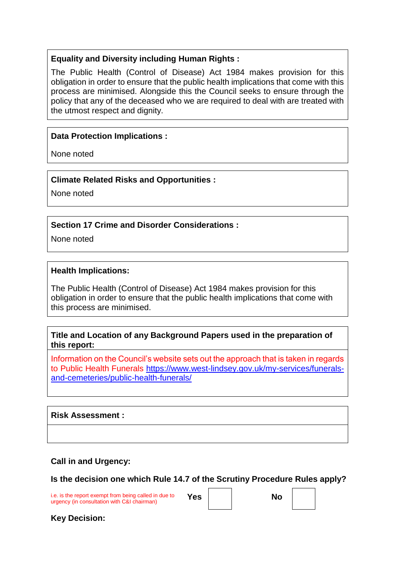### **Equality and Diversity including Human Rights :**

The Public Health (Control of Disease) Act 1984 makes provision for this obligation in order to ensure that the public health implications that come with this process are minimised. Alongside this the Council seeks to ensure through the policy that any of the deceased who we are required to deal with are treated with the utmost respect and dignity.

### **Data Protection Implications :**

None noted

#### **Climate Related Risks and Opportunities :**

None noted

### **Section 17 Crime and Disorder Considerations :**

None noted

#### **Health Implications:**

The Public Health (Control of Disease) Act 1984 makes provision for this obligation in order to ensure that the public health implications that come with this process are minimised.

## **Title and Location of any Background Papers used in the preparation of this report:**

Information on the Council's website sets out the approach that is taken in regards to Public Health Funerals [https://www.west-lindsey.gov.uk/my-services/funerals](https://www.west-lindsey.gov.uk/my-services/funerals-and-cemeteries/public-health-funerals/)[and-cemeteries/public-health-funerals/](https://www.west-lindsey.gov.uk/my-services/funerals-and-cemeteries/public-health-funerals/)

#### **Risk Assessment :**

## **Call in and Urgency:**

**Is the decision one which Rule 14.7 of the Scrutiny Procedure Rules apply?**

i.e. is the report exempt from being called in due to i.e. is the report exempt from being called in due to **Yes No** urgency (in consultation with C&I chairman)

**Key Decision:**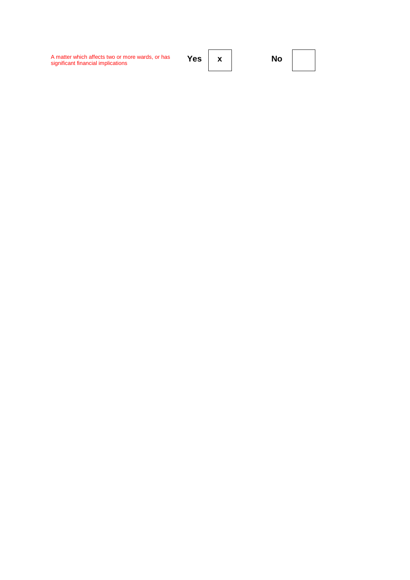A matter which affects two or more wards, or has<br>significant financial implications

Yes  $\mathbf x$ 

**No**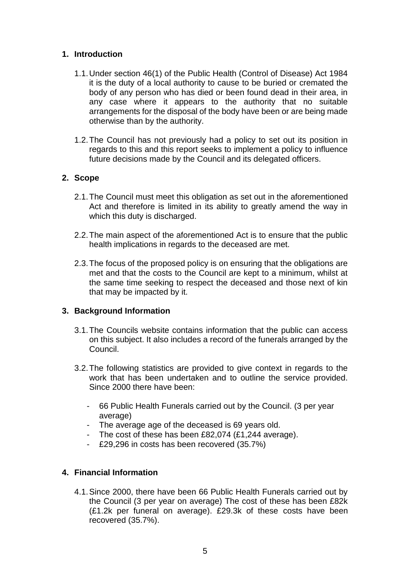## **1. Introduction**

- 1.1.Under section 46(1) of the Public Health (Control of Disease) Act 1984 it is the duty of a local authority to cause to be buried or cremated the body of any person who has died or been found dead in their area, in any case where it appears to the authority that no suitable arrangements for the disposal of the body have been or are being made otherwise than by the authority.
- 1.2.The Council has not previously had a policy to set out its position in regards to this and this report seeks to implement a policy to influence future decisions made by the Council and its delegated officers.

### **2. Scope**

- 2.1.The Council must meet this obligation as set out in the aforementioned Act and therefore is limited in its ability to greatly amend the way in which this duty is discharged.
- 2.2.The main aspect of the aforementioned Act is to ensure that the public health implications in regards to the deceased are met.
- 2.3.The focus of the proposed policy is on ensuring that the obligations are met and that the costs to the Council are kept to a minimum, whilst at the same time seeking to respect the deceased and those next of kin that may be impacted by it.

## **3. Background Information**

- 3.1.The Councils website contains information that the public can access on this subject. It also includes a record of the funerals arranged by the Council.
- 3.2.The following statistics are provided to give context in regards to the work that has been undertaken and to outline the service provided. Since 2000 there have been:
	- 66 Public Health Funerals carried out by the Council. (3 per year average)
	- The average age of the deceased is 69 years old.
	- The cost of these has been £82,074 (£1,244 average).
	- £29,296 in costs has been recovered (35.7%)

## **4. Financial Information**

4.1.Since 2000, there have been 66 Public Health Funerals carried out by the Council (3 per year on average) The cost of these has been £82k (£1.2k per funeral on average). £29.3k of these costs have been recovered (35.7%).